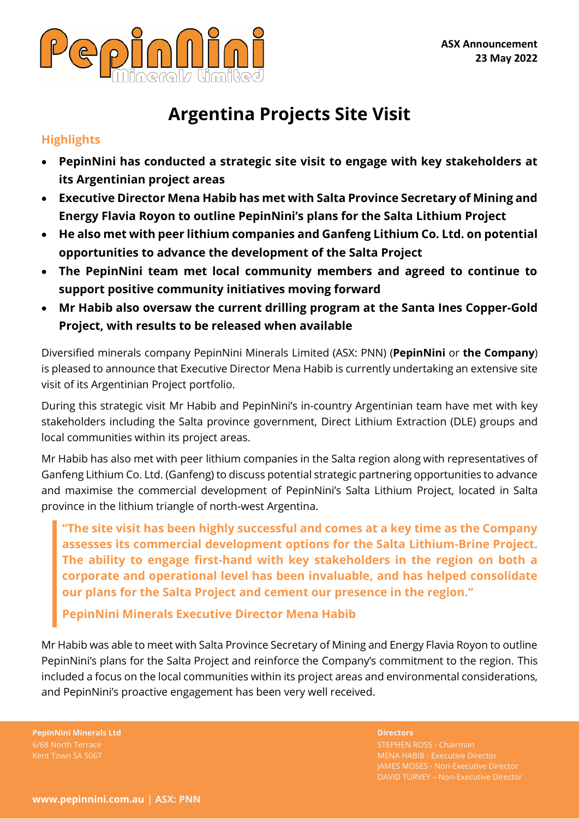

# **Argentina Projects Site Visit**

## **Highlights**

- **PepinNini has conducted a strategic site visit to engage with key stakeholders at its Argentinian project areas**
- **Executive Director Mena Habib has met with Salta Province Secretary of Mining and Energy Flavia Royon to outline PepinNini's plans for the Salta Lithium Project**
- **He also met with peer lithium companies and Ganfeng Lithium Co. Ltd. on potential opportunities to advance the development of the Salta Project**
- **The PepinNini team met local community members and agreed to continue to support positive community initiatives moving forward**
- **Mr Habib also oversaw the current drilling program at the Santa Ines Copper-Gold Project, with results to be released when available**

Diversified minerals company PepinNini Minerals Limited (ASX: PNN) (**PepinNini** or **the Company**) is pleased to announce that Executive Director Mena Habib is currently undertaking an extensive site visit of its Argentinian Project portfolio.

During this strategic visit Mr Habib and PepinNini's in-country Argentinian team have met with key stakeholders including the Salta province government, Direct Lithium Extraction (DLE) groups and local communities within its project areas.

Mr Habib has also met with peer lithium companies in the Salta region along with representatives of Ganfeng Lithium Co. Ltd. (Ganfeng) to discuss potential strategic partnering opportunities to advance and maximise the commercial development of PepinNini's Salta Lithium Project, located in Salta province in the lithium triangle of north-west Argentina.

**"The site visit has been highly successful and comes at a key time as the Company assesses its commercial development options for the Salta Lithium-Brine Project. The ability to engage first-hand with key stakeholders in the region on both a corporate and operational level has been invaluable, and has helped consolidate our plans for the Salta Project and cement our presence in the region."**

**PepinNini Minerals Executive Director Mena Habib**

Mr Habib was able to meet with Salta Province Secretary of Mining and Energy Flavia Royon to outline PepinNini's plans for the Salta Project and reinforce the Company's commitment to the region. This included a focus on the local communities within its project areas and environmental considerations, and PepinNini's proactive engagement has been very well received.

**PepinNini Minerals Ltd Directors** 6/68 North Terrace

STEPHEN ROSS - Chairman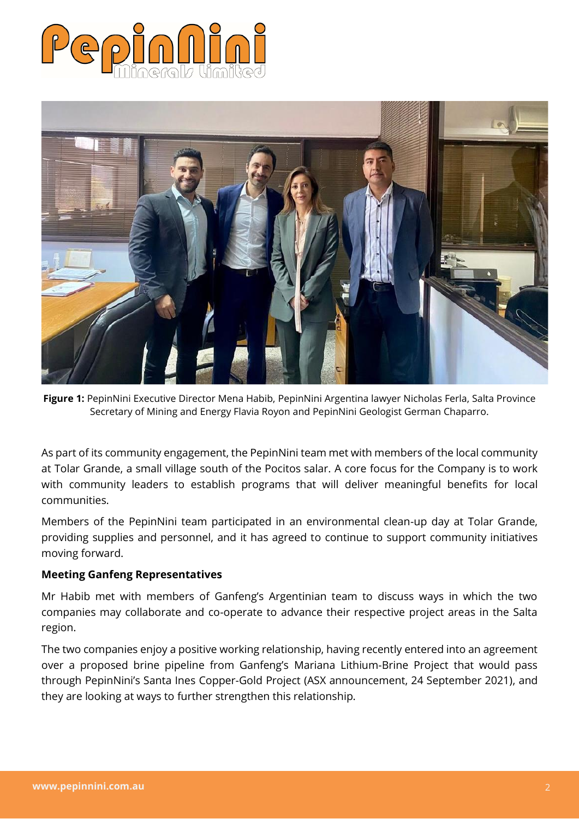



Figure 1: PepinNini Executive Director Mena Habib, PepinNini Argentina lawyer Nicholas Ferla, Salta Province Secretary of Mining and Energy Flavia Royon and PepinNini Geologist German Chaparro.

As part of its community engagement, the PepinNini team met with members of the local community at Tolar Grande, a small village south of the Pocitos salar. A core focus for the Company is to work with community leaders to establish programs that will deliver meaningful benefits for local communities.

Members of the PepinNini team participated in an environmental clean-up day at Tolar Grande, providing supplies and personnel, and it has agreed to continue to support community initiatives moving forward.

### **Meeting Ganfeng Representatives**

Mr Habib met with members of Ganfeng's Argentinian team to discuss ways in which the two companies may collaborate and co-operate to advance their respective project areas in the Salta region.

The two companies enjoy a positive working relationship, having recently entered into an agreement over a proposed brine pipeline from Ganfeng's Mariana Lithium-Brine Project that would pass through PepinNini's Santa Ines Copper-Gold Project (ASX announcement, 24 September 2021), and they are looking at ways to further strengthen this relationship.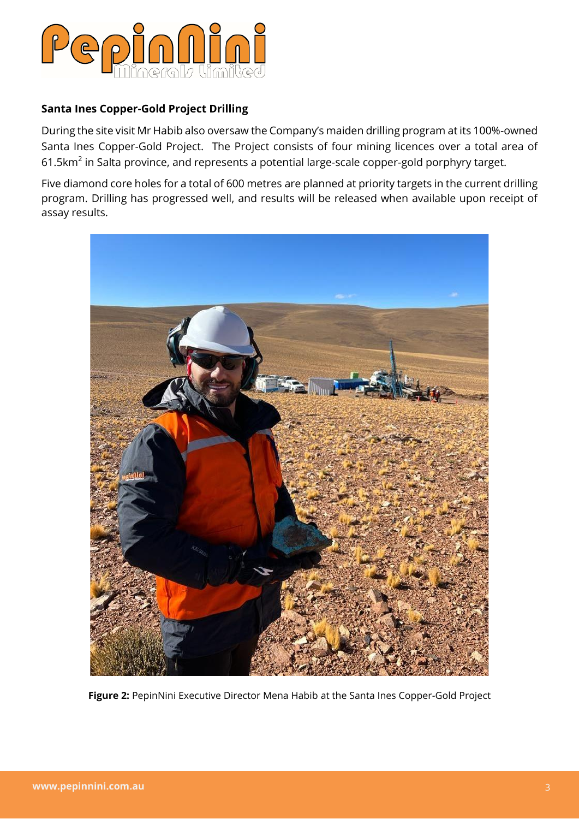

### **Santa Ines Copper-Gold Project Drilling**

During the site visit Mr Habib also oversaw the Company's maiden drilling program at its 100%-owned Santa Ines Copper-Gold Project. The Project consists of four mining licences over a total area of 61.5 $km^2$  in Salta province, and represents a potential large-scale copper-gold porphyry target.

Five diamond core holes for a total of 600 metres are planned at priority targets in the current drilling program. Drilling has progressed well, and results will be released when available upon receipt of assay results.



**Figure 2:** PepinNini Executive Director Mena Habib at the Santa Ines Copper-Gold Project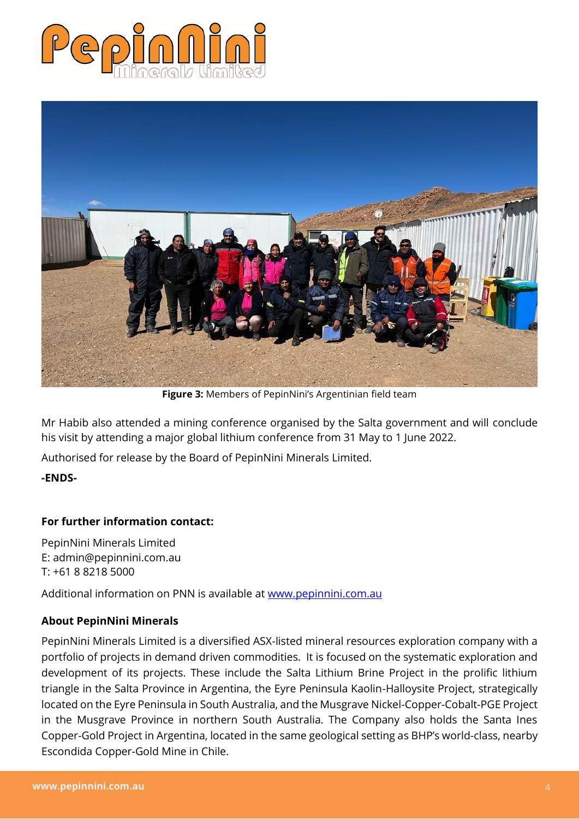



**Figure 3:** Members of PepinNini's Argentinian field team

Mr Habib also attended a mining conference organised by the Salta government and will conclude his visit by attending a major global lithium conference from 31 May to 1 June 2022.

Authorised for release by the Board of PepinNini Minerals Limited.

#### **-ENDS-**

### **For further information contact:**

PepinNini Minerals Limited E: admin@pepinnini.com.au T: +61 8 8218 5000

Additional information on PNN is available at [www.pepinnini.com.au](http://www.pepinnini.com.au/)

#### **About PepinNini Minerals**

PepinNini Minerals Limited is a diversified ASX-listed mineral resources exploration company with a portfolio of projects in demand driven commodities. It is focused on the systematic exploration and development of its projects. These include the Salta Lithium Brine Project in the prolific lithium triangle in the Salta Province in Argentina, the Eyre Peninsula Kaolin-Halloysite Project, strategically located on the Eyre Peninsula in South Australia, and the Musgrave Nickel-Copper-Cobalt-PGE Project in the Musgrave Province in northern South Australia. The Company also holds the Santa Ines Copper-Gold Project in Argentina, located in the same geological setting as BHP's world-class, nearby Escondida Copper-Gold Mine in Chile.